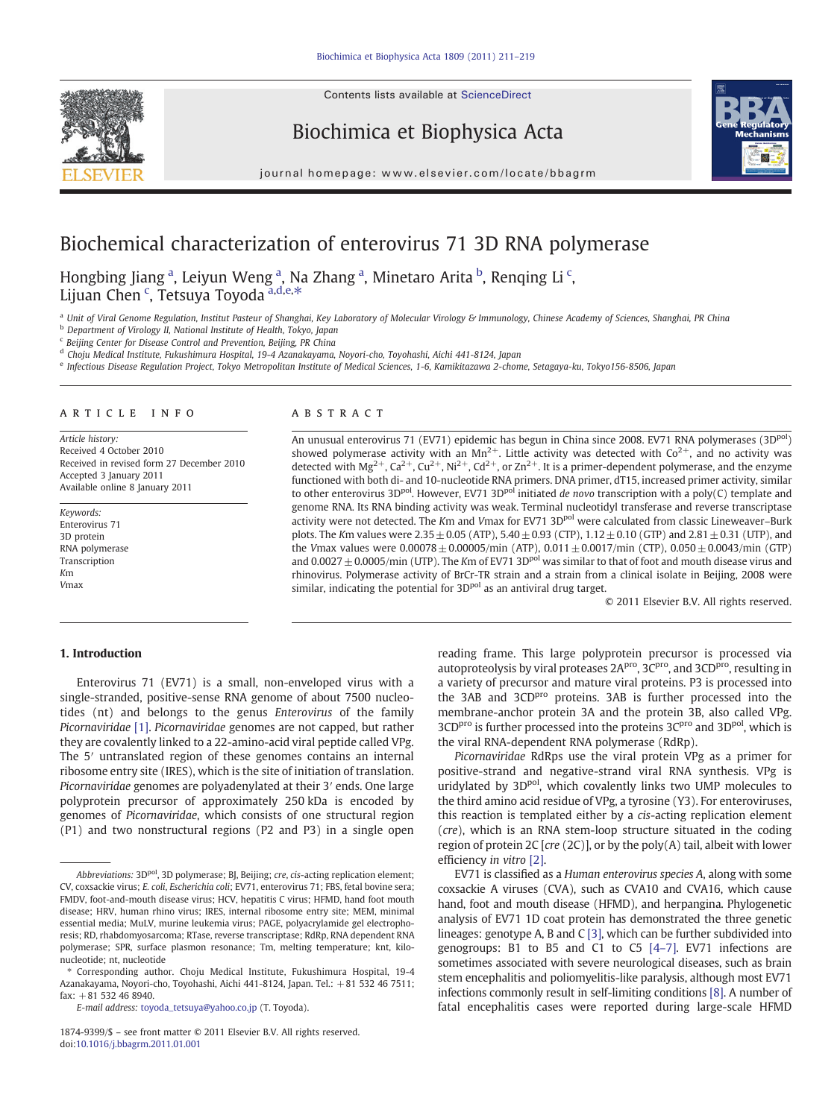Contents lists available at ScienceDirect



Biochimica et Biophysica Acta



journal homepage: www.elsevier.com/locate/bbagrm

# Biochemical characterization of enterovirus 71 3D RNA polymerase

Hongbing Jiang <sup>a</sup>, Leiyun Weng <sup>a</sup>, Na Zhang <sup>a</sup>, Minetaro Arita <sup>b</sup>, Renqing Li <sup>c</sup>, Lijuan Chen <sup>c</sup>, Tetsuya Toyoda <sup>a,d,e,\*</sup>

a Unit of Viral Genome Regulation, Institut Pasteur of Shanghai, Key Laboratory of Molecular Virology & Immunology, Chinese Academy of Sciences, Shanghai, PR China

**b** Department of Virology II, National Institute of Health, Tokyo, Japan

<sup>c</sup> Beijing Center for Disease Control and Prevention, Beijing, PR China

<sup>d</sup> Choju Medical Institute, Fukushimura Hospital, 19-4 Azanakayama, Noyori-cho, Toyohashi, Aichi 441-8124, Japan

<sup>e</sup> Infectious Disease Regulation Project, Tokyo Metropolitan Institute of Medical Sciences, 1-6, Kamikitazawa 2-chome, Setagaya-ku, Tokyo156-8506, Japan

# article info abstract

Article history: Received 4 October 2010 Received in revised form 27 December 2010 Accepted 3 January 2011 Available online 8 January 2011

Keywords: Enterovirus 71 3D protein RNA polymerase Transcription Km Vmax

An unusual enterovirus 71 (EV71) epidemic has begun in China since 2008. EV71 RNA polymerases (3D<sup>pol</sup>) showed polymerase activity with an  $Mn^{2+}$ . Little activity was detected with  $Co^{2+}$ , and no activity was detected with  $Mg^{2+}$ ,  $Ca^{2+}$ ,  $Cu^{2+}$ ,  $Ni^{2+}$ ,  $Cd^{2+}$ , or  $Zn^{2+}$ . It is a primer-dependent polymerase, and the enzyme functioned with both di- and 10-nucleotide RNA primers. DNA primer, dT15, increased primer activity, similar to other enterovirus  $3D^{pol}$ . However, EV71  $3D^{pol}$  initiated de novo transcription with a poly(C) template and genome RNA. Its RNA binding activity was weak. Terminal nucleotidyl transferase and reverse transcriptase activity were not detected. The Km and Vmax for EV71 3D<sup>pol</sup> were calculated from classic Lineweaver-Burk plots. The Km values were  $2.35 \pm 0.05$  (ATP),  $5.40 \pm 0.93$  (CTP),  $1.12 \pm 0.10$  (GTP) and  $2.81 \pm 0.31$  (UTP), and the Vmax values were  $0.00078 \pm 0.00005$ /min (ATP),  $0.011 \pm 0.0017$ /min (CTP),  $0.050 \pm 0.0043$ /min (GTP) and 0.0027  $\pm$  0.0005/min (UTP). The Km of EV71 3D<sup>pol</sup> was similar to that of foot and mouth disease virus and rhinovirus. Polymerase activity of BrCr-TR strain and a strain from a clinical isolate in Beijing, 2008 were similar, indicating the potential for 3D<sup>pol</sup> as an antiviral drug target.

© 2011 Elsevier B.V. All rights reserved.

# 1. Introduction

Enterovirus 71 (EV71) is a small, non-enveloped virus with a single-stranded, positive-sense RNA genome of about 7500 nucleotides (nt) and belongs to the genus Enterovirus of the family Picornaviridae [\[1\]](#page-8-0). Picornaviridae genomes are not capped, but rather they are covalently linked to a 22-amino-acid viral peptide called VPg. The 5′ untranslated region of these genomes contains an internal ribosome entry site (IRES), which is the site of initiation of translation. Picornaviridae genomes are polyadenylated at their 3′ ends. One large polyprotein precursor of approximately 250 kDa is encoded by genomes of Picornaviridae, which consists of one structural region (P1) and two nonstructural regions (P2 and P3) in a single open

E-mail address: [toyoda\\_tetsuya@yahoo.co.jp](mailto:toyoda_tetsuya@yahoo.co.jp) (T. Toyoda).

reading frame. This large polyprotein precursor is processed via autoproteolysis by viral proteases 2A<sup>pro</sup>, 3C<sup>pro</sup>, and 3CD<sup>pro</sup>, resulting in a variety of precursor and mature viral proteins. P3 is processed into the 3AB and 3CD<sup>pro</sup> proteins. 3AB is further processed into the membrane-anchor protein 3A and the protein 3B, also called VPg. 3CD<sup>pro</sup> is further processed into the proteins 3C<sup>pro</sup> and 3D<sup>pol</sup>, which is the viral RNA-dependent RNA polymerase (RdRp).

Picornaviridae RdRps use the viral protein VPg as a primer for positive-strand and negative-strand viral RNA synthesis. VPg is uridylated by 3D<sup>pol</sup>, which covalently links two UMP molecules to the third amino acid residue of VPg, a tyrosine (Y3). For enteroviruses, this reaction is templated either by a cis-acting replication element (cre), which is an RNA stem-loop structure situated in the coding region of protein 2C  $[cre (2C)]$ , or by the poly $(A)$  tail, albeit with lower efficiency in vitro [\[2\].](#page-8-0)

EV71 is classified as a Human enterovirus species A, along with some coxsackie A viruses (CVA), such as CVA10 and CVA16, which cause hand, foot and mouth disease (HFMD), and herpangina. Phylogenetic analysis of EV71 1D coat protein has demonstrated the three genetic lineages: genotype A, B and C [\[3\],](#page-8-0) which can be further subdivided into genogroups: B1 to B5 and C1 to C5 [4–[7\].](#page-8-0) EV71 infections are sometimes associated with severe neurological diseases, such as brain stem encephalitis and poliomyelitis-like paralysis, although most EV71 infections commonly result in self-limiting conditions [\[8\]](#page-8-0). A number of fatal encephalitis cases were reported during large-scale HFMD

Abbreviations: 3D<sup>pol</sup>, 3D polymerase; BJ, Beijing; cre, cis-acting replication element; CV, coxsackie virus; E. coli, Escherichia coli; EV71, enterovirus 71; FBS, fetal bovine sera; FMDV, foot-and-mouth disease virus; HCV, hepatitis C virus; HFMD, hand foot mouth disease; HRV, human rhino virus; IRES, internal ribosome entry site; MEM, minimal essential media; MuLV, murine leukemia virus; PAGE, polyacrylamide gel electrophoresis; RD, rhabdomyosarcoma; RTase, reverse transcriptase; RdRp, RNA dependent RNA polymerase; SPR, surface plasmon resonance; Tm, melting temperature; knt, kilonucleotide; nt, nucleotide

<sup>⁎</sup> Corresponding author. Choju Medical Institute, Fukushimura Hospital, 19-4 Azanakayama, Noyori-cho, Toyohashi, Aichi 441-8124, Japan. Tel.: +81 532 46 7511;  $fax: +81$  532 46 8940.

<sup>1874-9399/\$</sup> – see front matter © 2011 Elsevier B.V. All rights reserved. doi:[10.1016/j.bbagrm.2011.01.001](http://dx.doi.org/10.1016/j.bbagrm.2011.01.001)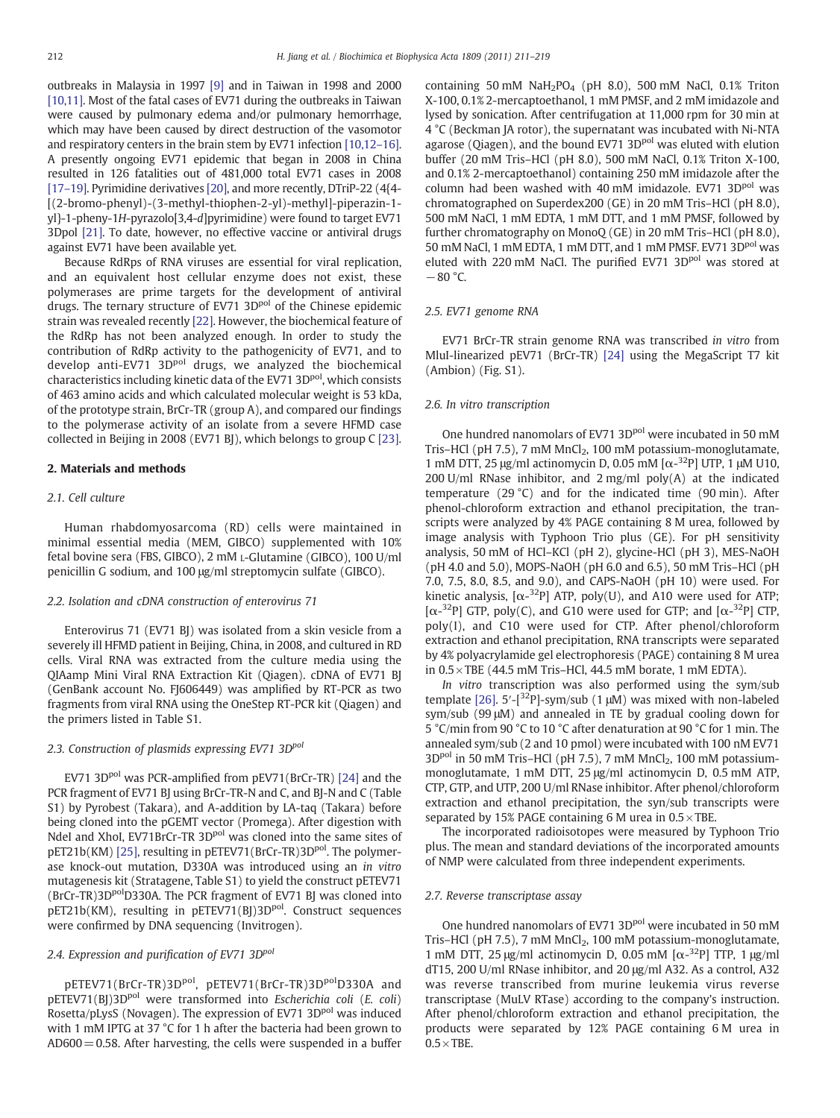outbreaks in Malaysia in 1997 [\[9\]](#page-8-0) and in Taiwan in 1998 and 2000 [\[10,11\].](#page-8-0) Most of the fatal cases of EV71 during the outbreaks in Taiwan were caused by pulmonary edema and/or pulmonary hemorrhage, which may have been caused by direct destruction of the vasomotor and respiratory centers in the brain stem by EV71 infection [\[10,12](#page-8-0)–16]. A presently ongoing EV71 epidemic that began in 2008 in China resulted in 126 fatalities out of 481,000 total EV71 cases in 2008 [17–[19\].](#page-8-0) Pyrimidine derivatives [\[20\],](#page-8-0) and more recently, DTriP-22 (4{4- [(2-bromo-phenyl)-(3-methyl-thiophen-2-yl)-methyl]-piperazin-1 yl}-1-pheny-1H-pyrazolo[3,4-d]pyrimidine) were found to target EV71 3Dpol [\[21\].](#page-8-0) To date, however, no effective vaccine or antiviral drugs against EV71 have been available yet.

Because RdRps of RNA viruses are essential for viral replication, and an equivalent host cellular enzyme does not exist, these polymerases are prime targets for the development of antiviral drugs. The ternary structure of EV71 3D<sup>pol</sup> of the Chinese epidemic strain was revealed recently [\[22\]](#page-8-0). However, the biochemical feature of the RdRp has not been analyzed enough. In order to study the contribution of RdRp activity to the pathogenicity of EV71, and to develop anti-EV71 3D<sup>pol</sup> drugs, we analyzed the biochemical characteristics including kinetic data of the EV71 3D<sup>pol</sup>, which consists of 463 amino acids and which calculated molecular weight is 53 kDa, of the prototype strain, BrCr-TR (group A), and compared our findings to the polymerase activity of an isolate from a severe HFMD case collected in Beijing in 2008 (EV71 BJ), which belongs to group C [\[23\].](#page-8-0)

# 2. Materials and methods

# 2.1. Cell culture

Human rhabdomyosarcoma (RD) cells were maintained in minimal essential media (MEM, GIBCO) supplemented with 10% fetal bovine sera (FBS, GIBCO), 2 mM L-Glutamine (GIBCO), 100 U/ml penicillin G sodium, and 100 μg/ml streptomycin sulfate (GIBCO).

# 2.2. Isolation and cDNA construction of enterovirus 71

Enterovirus 71 (EV71 BJ) was isolated from a skin vesicle from a severely ill HFMD patient in Beijing, China, in 2008, and cultured in RD cells. Viral RNA was extracted from the culture media using the QIAamp Mini Viral RNA Extraction Kit (Qiagen). cDNA of EV71 BJ (GenBank account No. FJ606449) was amplified by RT-PCR as two fragments from viral RNA using the OneStep RT-PCR kit (Qiagen) and the primers listed in Table S1.

#### 2.3. Construction of plasmids expressing EV71 3D<sup>pol</sup>

EV71 3D<sup>pol</sup> was PCR-amplified from pEV71(BrCr-TR) [\[24\]](#page-8-0) and the PCR fragment of EV71 BJ using BrCr-TR-N and C, and BJ-N and C (Table S1) by Pyrobest (Takara), and A-addition by LA-taq (Takara) before being cloned into the pGEMT vector (Promega). After digestion with NdeI and XhoI, EV71BrCr-TR 3D<sup>pol</sup> was cloned into the same sites of pET21b(KM) [\[25\]](#page-8-0), resulting in pETEV71(BrCr-TR)3D<sup>pol</sup>. The polymerase knock-out mutation, D330A was introduced using an in vitro mutagenesis kit (Stratagene, Table S1) to yield the construct pETEV71 (BrCr-TR)3D<sup>pol</sup>D330A. The PCR fragment of EV71 BJ was cloned into pET21b(KM), resulting in pETEV71(BJ)3D<sup>pol</sup>. Construct sequences were confirmed by DNA sequencing (Invitrogen).

# 2.4. Expression and purification of EV71 3D<sup>pol</sup>

pETEV71(BrCr-TR)3D<sup>pol</sup>, pETEV71(BrCr-TR)3D<sup>pol</sup>D330A and pETEV71(BJ)3D<sup>pol</sup> were transformed into Escherichia coli (E. coli) Rosetta/pLysS (Novagen). The expression of EV71 3D<sup>pol</sup> was induced with 1 mM IPTG at 37 °C for 1 h after the bacteria had been grown to  $AD600 = 0.58$ . After harvesting, the cells were suspended in a buffer containing 50 mM  $NaH<sub>2</sub>PO<sub>4</sub>$  (pH 8.0), 500 mM NaCl, 0.1% Triton X-100, 0.1% 2-mercaptoethanol, 1 mM PMSF, and 2 mM imidazole and lysed by sonication. After centrifugation at 11,000 rpm for 30 min at 4 °C (Beckman JA rotor), the supernatant was incubated with Ni-NTA agarose (Qiagen), and the bound EV71 3D<sup>pol</sup> was eluted with elution buffer (20 mM Tris–HCl (pH 8.0), 500 mM NaCl, 0.1% Triton X-100, and 0.1% 2-mercaptoethanol) containing 250 mM imidazole after the column had been washed with 40 mM imidazole. EV71 3D<sup>pol</sup> was chromatographed on Superdex200 (GE) in 20 mM Tris–HCl (pH 8.0), 500 mM NaCl, 1 mM EDTA, 1 mM DTT, and 1 mM PMSF, followed by further chromatography on MonoQ (GE) in 20 mM Tris–HCl (pH 8.0), 50 mM NaCl, 1 mM EDTA, 1 mM DTT, and 1 mM PMSF. EV71 3D<sup>pol</sup> was eluted with 220 mM NaCl. The purified EV71 3D<sup>pol</sup> was stored at  $-80$  °C.

#### 2.5. EV71 genome RNA

EV71 BrCr-TR strain genome RNA was transcribed in vitro from MluI-linearized pEV71 (BrCr-TR) [\[24\]](#page-8-0) using the MegaScript T7 kit (Ambion) (Fig. S1).

# 2.6. In vitro transcription

One hundred nanomolars of EV71 3D<sup>pol</sup> were incubated in 50 mM Tris–HCl (pH 7.5), 7 mM  $MnCl<sub>2</sub>$ , 100 mM potassium-monoglutamate, 1 mM DTT, 25 μg/ml actinomycin D, 0.05 mM  $[α<sup>-32</sup>P]$  UTP, 1 μM U10, 200 U/ml RNase inhibitor, and  $2 \text{ mg/ml}$  poly(A) at the indicated temperature (29 °C) and for the indicated time (90 min). After phenol-chloroform extraction and ethanol precipitation, the transcripts were analyzed by 4% PAGE containing 8 M urea, followed by image analysis with Typhoon Trio plus (GE). For pH sensitivity analysis, 50 mM of HCl–KCl (pH 2), glycine-HCl (pH 3), MES-NaOH (pH 4.0 and 5.0), MOPS-NaOH (pH 6.0 and 6.5), 50 mM Tris–HCl (pH 7.0, 7.5, 8.0, 8.5, and 9.0), and CAPS-NaOH (pH 10) were used. For kinetic analysis,  $[\alpha^{-32}P]$  ATP, poly(U), and A10 were used for ATP; [ $\alpha$ -<sup>32</sup>P] GTP, poly(C), and G10 were used for GTP; and [ $\alpha$ -<sup>32</sup>P] CTP, poly(I), and C10 were used for CTP. After phenol/chloroform extraction and ethanol precipitation, RNA transcripts were separated by 4% polyacrylamide gel electrophoresis (PAGE) containing 8 M urea in  $0.5 \times$  TBE (44.5 mM Tris–HCl, 44.5 mM borate, 1 mM EDTA).

In vitro transcription was also performed using the sym/sub template  $[26]$ . 5'- $[^{32}P]$ -sym/sub (1  $\mu$ M) was mixed with non-labeled sym/sub (99 μM) and annealed in TE by gradual cooling down for 5 °C/min from 90 °C to 10 °C after denaturation at 90 °C for 1 min. The annealed sym/sub (2 and 10 pmol) were incubated with 100 nM EV71 3D<sup>pol</sup> in 50 mM Tris-HCl (pH 7.5), 7 mM MnCl<sub>2</sub>, 100 mM potassiummonoglutamate, 1 mM DTT, 25 μg/ml actinomycin D, 0.5 mM ATP, CTP, GTP, and UTP, 200 U/ml RNase inhibitor. After phenol/chloroform extraction and ethanol precipitation, the syn/sub transcripts were separated by 15% PAGE containing 6 M urea in  $0.5 \times$ TBE.

The incorporated radioisotopes were measured by Typhoon Trio plus. The mean and standard deviations of the incorporated amounts of NMP were calculated from three independent experiments.

#### 2.7. Reverse transcriptase assay

One hundred nanomolars of EV71 3DPol were incubated in 50 mM Tris-HCl (pH 7.5), 7 mM  $MnCl<sub>2</sub>$ , 100 mM potassium-monoglutamate, 1 mM DTT, 25 μg/ml actinomycin D, 0.05 mM  $[α<sup>-32</sup>P]$  TTP, 1 μg/ml dT15, 200 U/ml RNase inhibitor, and 20 μg/ml A32. As a control, A32 was reverse transcribed from murine leukemia virus reverse transcriptase (MuLV RTase) according to the company's instruction. After phenol/chloroform extraction and ethanol precipitation, the products were separated by 12% PAGE containing 6 M urea in  $0.5 \times$  TBE.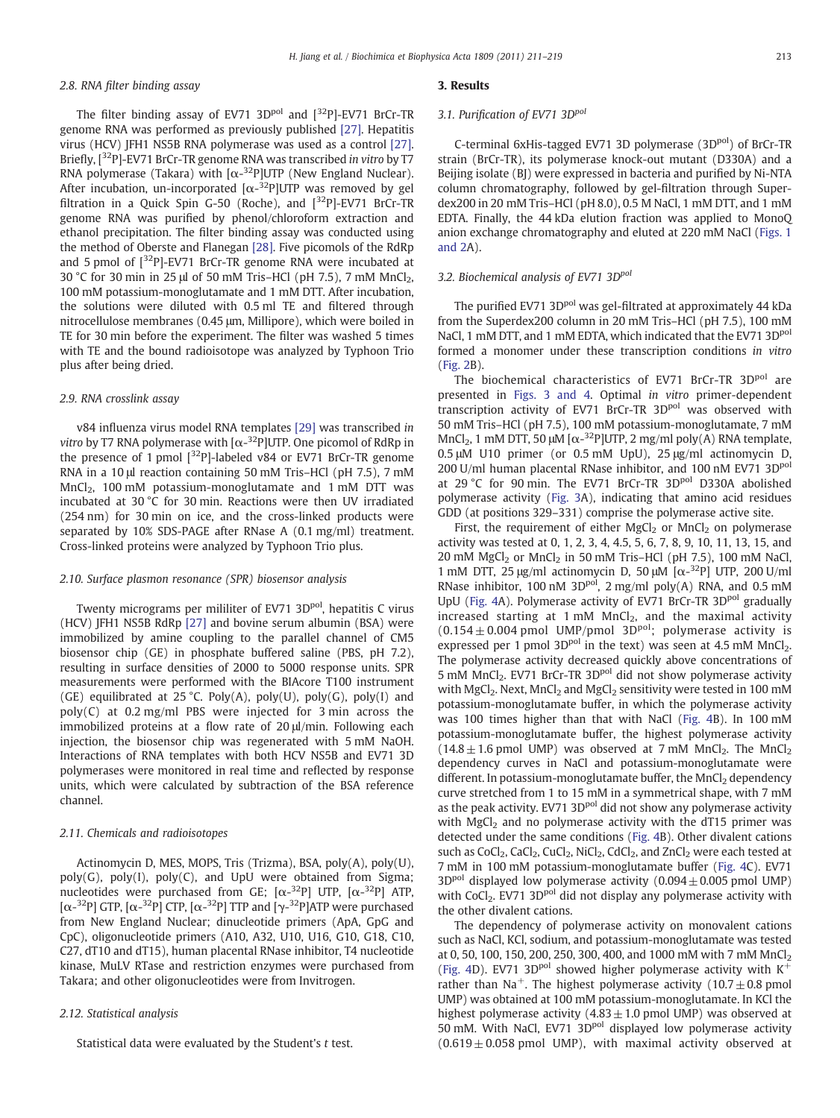# 2.8. RNA filter binding assay

The filter binding assay of EV71 3D $P<sup>pol</sup>$  and  $[{}^{32}P]$ -EV71 BrCr-TR genome RNA was performed as previously published [\[27\]](#page-8-0). Hepatitis virus (HCV) JFH1 NS5B RNA polymerase was used as a control [\[27\].](#page-8-0) Briefly, [<sup>32</sup>P]-EV71 BrCr-TR genome RNA was transcribed in vitro by T7 RNA polymerase (Takara) with  $[\alpha^{-32}P]$ UTP (New England Nuclear). After incubation, un-incorporated  $[\alpha^{-32}P]$ UTP was removed by gel filtration in a Quick Spin G-50 (Roche), and  $[{}^{32}P]$ -EV71 BrCr-TR genome RNA was purified by phenol/chloroform extraction and ethanol precipitation. The filter binding assay was conducted using the method of Oberste and Flanegan [\[28\].](#page-8-0) Five picomols of the RdRp and 5 pmol of  $[^{32}P]$ -EV71 BrCr-TR genome RNA were incubated at 30 °C for 30 min in 25 μl of 50 mM Tris-HCl (pH 7.5), 7 mM MnCl<sub>2</sub>, 100 mM potassium-monoglutamate and 1 mM DTT. After incubation, the solutions were diluted with 0.5 ml TE and filtered through nitrocellulose membranes (0.45 μm, Millipore), which were boiled in TE for 30 min before the experiment. The filter was washed 5 times with TE and the bound radioisotope was analyzed by Typhoon Trio plus after being dried.

#### 2.9. RNA crosslink assay

v84 influenza virus model RNA templates [\[29\]](#page-8-0) was transcribed in vitro by T7 RNA polymerase with  $[\alpha^{-32}P]$ UTP. One picomol of RdRp in the presence of 1 pmol [<sup>32</sup>P]-labeled v84 or EV71 BrCr-TR genome RNA in a 10 μl reaction containing 50 mM Tris–HCl (pH 7.5), 7 mM  $MnCl<sub>2</sub>$ , 100 mM potassium-monoglutamate and 1 mM DTT was incubated at 30 °C for 30 min. Reactions were then UV irradiated (254 nm) for 30 min on ice, and the cross-linked products were separated by 10% SDS-PAGE after RNase A (0.1 mg/ml) treatment. Cross-linked proteins were analyzed by Typhoon Trio plus.

# 2.10. Surface plasmon resonance (SPR) biosensor analysis

Twenty micrograms per mililiter of EV71 3D<sup>pol</sup>, hepatitis C virus (HCV) JFH1 NS5B RdRp [\[27\]](#page-8-0) and bovine serum albumin (BSA) were immobilized by amine coupling to the parallel channel of CM5 biosensor chip (GE) in phosphate buffered saline (PBS, pH 7.2), resulting in surface densities of 2000 to 5000 response units. SPR measurements were performed with the BIAcore T100 instrument (GE) equilibrated at 25 °C. Poly(A), poly(U), poly(G), poly(I) and poly(C) at 0.2 mg/ml PBS were injected for 3 min across the immobilized proteins at a flow rate of 20 μl/min. Following each injection, the biosensor chip was regenerated with 5 mM NaOH. Interactions of RNA templates with both HCV NS5B and EV71 3D polymerases were monitored in real time and reflected by response units, which were calculated by subtraction of the BSA reference channel.

#### 2.11. Chemicals and radioisotopes

Actinomycin D, MES, MOPS, Tris (Trizma), BSA, poly(A), poly(U),  $poly(G)$ ,  $poly(I)$ ,  $poly(C)$ , and UpU were obtained from Sigma; nucleotides were purchased from GE;  $[α<sup>-32</sup>P]$  UTP,  $[α<sup>-32</sup>P]$  ATP, [ $\alpha$ -<sup>32</sup>P] GTP, [ $\alpha$ -<sup>32</sup>P] CTP, [ $\alpha$ -<sup>32</sup>P] TTP and [ $\gamma$ -<sup>32</sup>P]ATP were purchased from New England Nuclear; dinucleotide primers (ApA, GpG and CpC), oligonucleotide primers (A10, A32, U10, U16, G10, G18, C10, C27, dT10 and dT15), human placental RNase inhibitor, T4 nucleotide kinase, MuLV RTase and restriction enzymes were purchased from Takara; and other oligonucleotides were from Invitrogen.

### 2.12. Statistical analysis

Statistical data were evaluated by the Student's t test.

#### 3. Results

# 3.1. Purification of EV71 3D<sup>pol</sup>

C-terminal 6xHis-tagged EV71 3D polymerase (3D<sup>pol</sup>) of BrCr-TR strain (BrCr-TR), its polymerase knock-out mutant (D330A) and a Beijing isolate (BJ) were expressed in bacteria and purified by Ni-NTA column chromatography, followed by gel-filtration through Superdex200 in 20 mM Tris–HCl (pH 8.0), 0.5 M NaCl, 1 mM DTT, and 1 mM EDTA. Finally, the 44 kDa elution fraction was applied to MonoQ anion exchange chromatography and eluted at 220 mM NaCl ([Figs. 1](#page-3-0) [and 2](#page-3-0)A).

# 3.2. Biochemical analysis of EV71 3D<sup>pol</sup>

The purified EV71 3D<sup>pol</sup> was gel-filtrated at approximately 44 kDa from the Superdex200 column in 20 mM Tris–HCl (pH 7.5), 100 mM NaCl, 1 mM DTT, and 1 mM EDTA, which indicated that the EV71 3D<sup>pol</sup> formed a monomer under these transcription conditions in vitro [\(Fig. 2](#page-3-0)B).

The biochemical characteristics of EV71 BrCr-TR 3D<sup>pol</sup> are presented in [Figs. 3 and 4.](#page-4-0) Optimal in vitro primer-dependent transcription activity of EV71 BrCr-TR 3D<sup>pol</sup> was observed with 50 mM Tris–HCl (pH 7.5), 100 mM potassium-monoglutamate, 7 mM MnCl<sub>2</sub>, 1 mM DTT, 50 μM [ $\alpha$ <sup>-32</sup>P]UTP, 2 mg/ml poly(A) RNA template, 0.5 μM U10 primer (or 0.5 mM UpU), 25 μg/ml actinomycin D, 200 U/ml human placental RNase inhibitor, and 100 nM EV71 3D<sup>pol</sup> at 29 °C for 90 min. The EV71 BrCr-TR 3D<sup>pol</sup> D330A abolished polymerase activity [\(Fig. 3](#page-4-0)A), indicating that amino acid residues GDD (at positions 329–331) comprise the polymerase active site.

First, the requirement of either  $MgCl<sub>2</sub>$  or  $MnCl<sub>2</sub>$  on polymerase activity was tested at 0, 1, 2, 3, 4, 4.5, 5, 6, 7, 8, 9, 10, 11, 13, 15, and 20 mM  $MgCl<sub>2</sub>$  or  $MnCl<sub>2</sub>$  in 50 mM Tris–HCl (pH 7.5), 100 mM NaCl, 1 mM DTT, 25 μg/ml actinomycin D, 50 μM  $[\alpha^{-32}P]$  UTP, 200 U/ml RNase inhibitor, 100 nM 3D<sup>pol</sup>, 2 mg/ml poly(A) RNA, and 0.5 mM UpU [\(Fig. 4](#page-4-0)A). Polymerase activity of EV71 BrCr-TR 3D<sup>pol</sup> gradually increased starting at  $1 \text{ mM } MnCl_2$ , and the maximal activity  $(0.154 \pm 0.004$  pmol UMP/pmol 3D<sup>pol</sup>; polymerase activity is expressed per 1 pmol 3D<sup>pol</sup> in the text) was seen at 4.5 mM MnCl<sub>2</sub>. The polymerase activity decreased quickly above concentrations of 5 mM MnCl<sub>2</sub>. EV71 BrCr-TR 3D<sup>pol</sup> did not show polymerase activity with MgCl<sub>2</sub>. Next, MnCl<sub>2</sub> and MgCl<sub>2</sub> sensitivity were tested in 100 mM potassium-monoglutamate buffer, in which the polymerase activity was 100 times higher than that with NaCl [\(Fig. 4B](#page-4-0)). In 100 mM potassium-monoglutamate buffer, the highest polymerase activity  $(14.8 \pm 1.6 \text{ pmol}$  UMP) was observed at 7 mM MnCl<sub>2</sub>. The MnCl<sub>2</sub> dependency curves in NaCl and potassium-monoglutamate were different. In potassium-monoglutamate buffer, the MnCl<sub>2</sub> dependency curve stretched from 1 to 15 mM in a symmetrical shape, with 7 mM as the peak activity. EV71 3D<sup>pol</sup> did not show any polymerase activity with  $MgCl<sub>2</sub>$  and no polymerase activity with the dT15 primer was detected under the same conditions [\(Fig. 4B](#page-4-0)). Other divalent cations such as  $CoCl<sub>2</sub>$ ,  $CaCl<sub>2</sub>$ ,  $CuCl<sub>2</sub>$ ,  $NiCl<sub>2</sub>$ ,  $CdCl<sub>2</sub>$ , and  $ZnCl<sub>2</sub>$  were each tested at 7 mM in 100 mM potassium-monoglutamate buffer [\(Fig. 4](#page-4-0)C). EV71  $3D<sup>pol</sup>$  displayed low polymerase activity (0.094  $\pm$  0.005 pmol UMP) with CoCl<sub>2</sub>. EV71 3D<sup>pol</sup> did not display any polymerase activity with the other divalent cations.

The dependency of polymerase activity on monovalent cations such as NaCl, KCl, sodium, and potassium-monoglutamate was tested at 0, 50, 100, 150, 200, 250, 300, 400, and 1000 mM with 7 mM MnCl<sub>2</sub> [\(Fig. 4D](#page-4-0)). EV71 3D<sup>pol</sup> showed higher polymerase activity with  $K^+$ rather than Na<sup>+</sup>. The highest polymerase activity (10.7 $\pm$ 0.8 pmol UMP) was obtained at 100 mM potassium-monoglutamate. In KCl the highest polymerase activity  $(4.83 \pm 1.0 \text{ pmol UMP})$  was observed at 50 mM. With NaCl, EV71 3D<sup>pol</sup> displayed low polymerase activity  $(0.619 \pm 0.058$  pmol UMP), with maximal activity observed at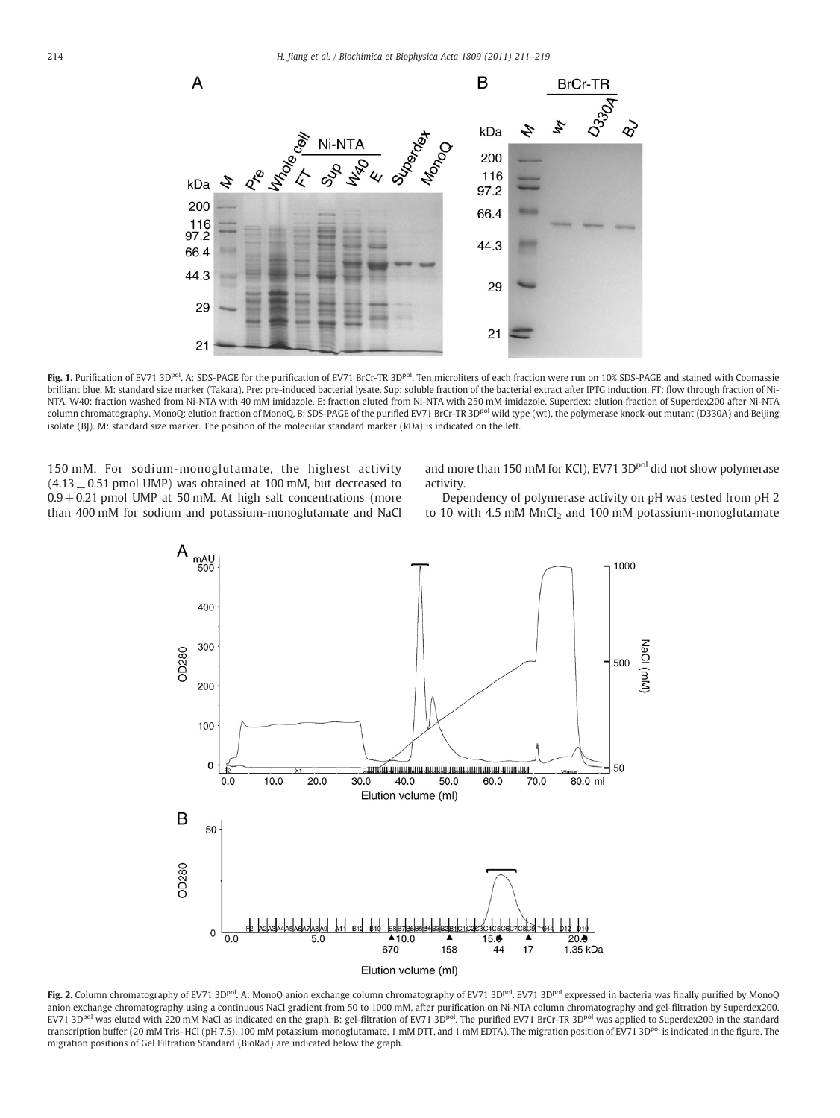<span id="page-3-0"></span>

Fig. 1. Purification of EV71 3D<sup>pol</sup>. A: SDS-PAGE for the purification of EV71 BrCr-TR 3D<sup>pol</sup>. Ten microliters of each fraction were run on 10% SDS-PAGE and stained with Coomassie brilliant blue. M: standard size marker (Takara). Pre: pre-induced bacterial lysate. Sup: soluble fraction of the bacterial extract after IPTG induction. FT: flow through fraction of Ni-NTA. W40: fraction washed from Ni-NTA with 40 mM imidazole. E: fraction eluted from Ni-NTA with 250 mM imidazole. Superdex: elution fraction of Superdex200 after Ni-NTA column chromatography. MonoQ: elution fraction of MonoQ. B: SDS-PAGE of the purified EV71 BrCr-TR 3D<sup>pol</sup> wild type (wt), the polymerase knock-out mutant (D330A) and Beijing isolate (BJ). M: standard size marker. The position of the molecular standard marker (kDa) is indicated on the left.

150 mM. For sodium-monoglutamate, the highest activity  $(4.13 \pm 0.51$  pmol UMP) was obtained at 100 mM, but decreased to  $0.9 \pm 0.21$  pmol UMP at 50 mM. At high salt concentrations (more than 400 mM for sodium and potassium-monoglutamate and NaCl and more than 150 mM for KCl), EV71 3D<sup>pol</sup> did not show polymerase activity.

Dependency of polymerase activity on pH was tested from pH 2 to 10 with 4.5 mM  $MnCl<sub>2</sub>$  and 100 mM potassium-monoglutamate



Fig. 2. Column chromatography of EV71 3D<sup>pol</sup>. A: MonoQ anion exchange column chromatography of EV71 3D<sup>pol</sup>. EV71 3D<sup>pol</sup> expressed in bacteria was finally purified by MonoQ anion exchange chromatography using a continuous NaCl gradient from 50 to 1000 mM, after purification on Ni-NTA column chromatography and gel-filtration by Superdex200. EV71 3D<sup>pol</sup> was eluted with 220 mM NaCl as indicated on the graph. B: gel-filtration of EV71 3D<sup>pol</sup>. The purified EV71 BrCr-TR 3D<sup>pol</sup> was applied to Superdex200 in the standard transcription buffer (20 mM Tris-HCl (pH 7.5), 100 mM potassium-monoglutamate, 1 mM DTT, and 1 mM EDTA). The migration position of EV71 3D<sup>pol</sup> is indicated in the figure. The migration positions of Gel Filtration Standard (BioRad) are indicated below the graph.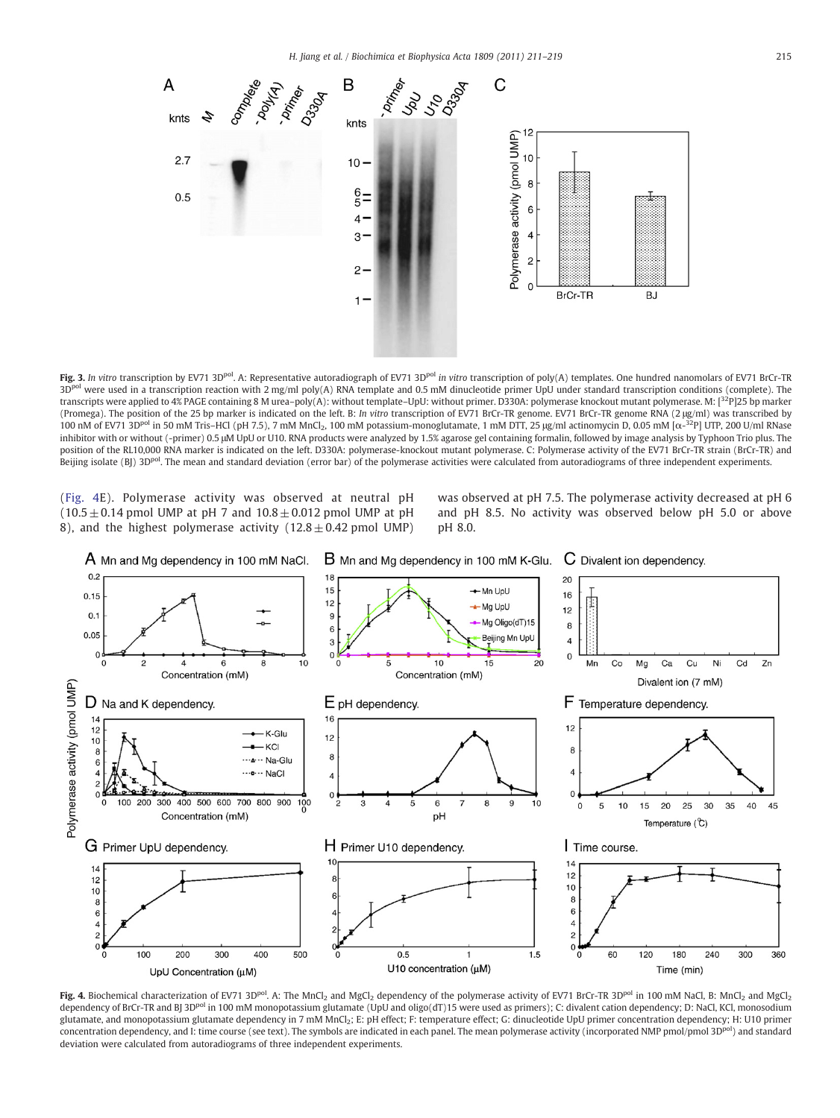<span id="page-4-0"></span>

Fig. 3. In vitro transcription by EV71 3D<sup>pol</sup>. A: Representative autoradiograph of EV71 3D<sup>pol</sup> in vitro transcription of poly(A) templates. One hundred nanomolars of EV71 BrCr-TR 3D<sup>pol</sup> were used in a transcription reaction with 2 mg/ml poly(A) RNA template and 0.5 mM dinucleotide primer UpU under standard transcription conditions (complete). The transcripts were applied to 4% PAGE containing 8 M urea–poly(A): without template–UpU: without primer. D330A: polymerase knockout mutant polymerase. M: [32P]25 bp marker (Promega). The position of the 25 bp marker is indicated on the left. B: In vitro transcription of EV71 BrCr-TR genome. EV71 BrCr-TR genome RNA (2 μg/ml) was transcribed by 100 nM of EV71 3D<sup>pol</sup> in 50 mM Tris–HCl (pH 7.5), 7 mM MnCl<sub>2</sub>, 100 mM potassium-monoglutamate, 1 mM DTT, 25 µg/ml actinomycin D, 0.05 mM [ $\alpha$ <sup>-32</sup>P] UTP, 200 U/ml RNase inhibitor with or without (-primer) 0.5 μM UpU or U10. RNA products were analyzed by 1.5% agarose gel containing formalin, followed by image analysis by Typhoon Trio plus. The position of the RL10,000 RNA marker is indicated on the left. D330A: polymerase-knockout mutant polymerase. C: Polymerase activity of the EV71 BrCr-TR strain (BrCr-TR) and Beijing isolate (BJ) 3D<sup>pol</sup>. The mean and standard deviation (error bar) of the polymerase activities were calculated from autoradiograms of three independent experiments.

(Fig. 4E). Polymerase activity was observed at neutral pH  $(10.5 \pm 0.14$  pmol UMP at pH 7 and  $10.8 \pm 0.012$  pmol UMP at pH 8), and the highest polymerase activity  $(12.8 \pm 0.42 \text{ pmol UMP})$  was observed at pH 7.5. The polymerase activity decreased at pH 6 and pH 8.5. No activity was observed below pH 5.0 or above pH 8.0.



Fig. 4. Biochemical characterization of EV71 3D<sup>pol</sup>. A: The MnCl<sub>2</sub> and MgCl<sub>2</sub> dependency of the polymerase activity of EV71 BrCr-TR 3D<sup>pol</sup> in 100 mM NaCl, B: MnCl<sub>2</sub> and MgCl<sub>2</sub> dependency of BrCr-TR and BJ 3D<sup>pol</sup> in 100 mM monopotassium glutamate (UpU and oligo(dT)15 were used as primers); C: divalent cation dependency; D: NaCl, KCl, monosodium glutamate, and monopotassium glutamate dependency in 7 mM MnCl2; E: pH effect; F: temperature effect; G: dinucleotide UpU primer concentration dependency; H: U10 primer concentration dependency, and I: time course (see text). The symbols are indicated in each panel. The mean polymerase activity (incorporated NMP pmol/pmol 3Dpol) and standard deviation were calculated from autoradiograms of three independent experiments.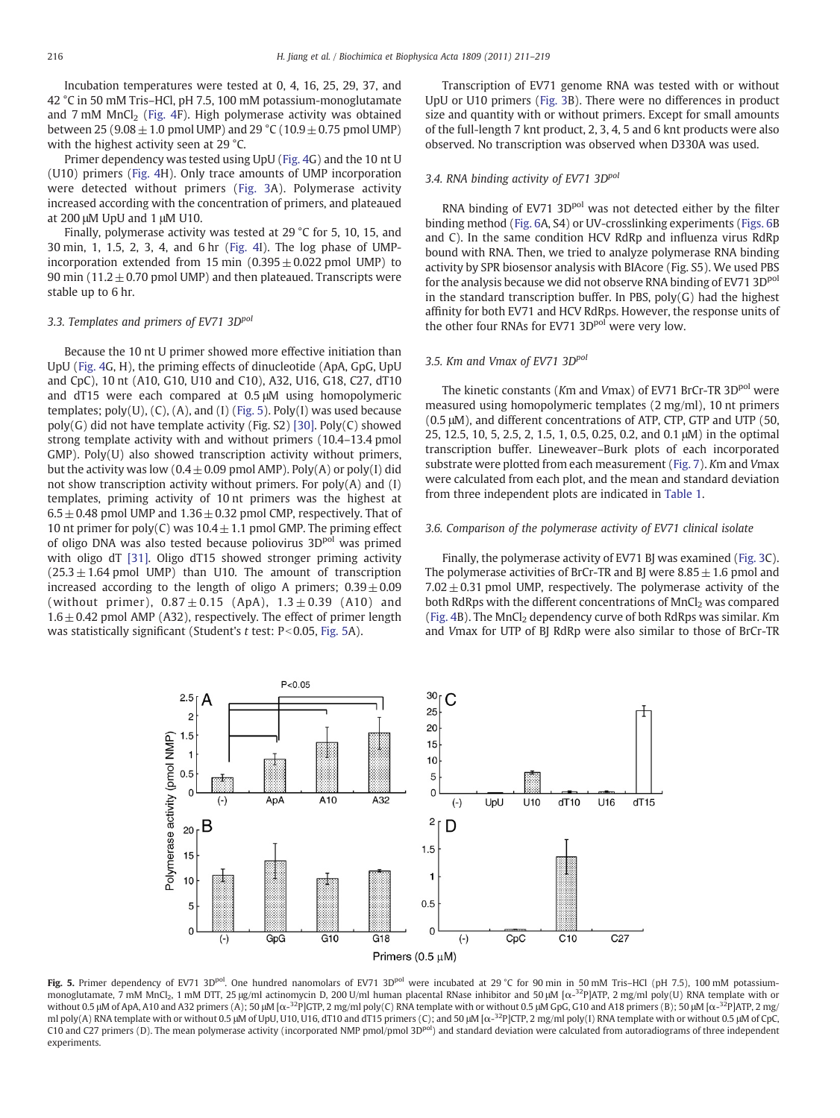<span id="page-5-0"></span>Incubation temperatures were tested at 0, 4, 16, 25, 29, 37, and 42 °C in 50 mM Tris–HCl, pH 7.5, 100 mM potassium-monoglutamate and  $7 \text{ mM } MnCl_2$  [\(Fig. 4F](#page-4-0)). High polymerase activity was obtained between 25 (9.08  $\pm$  1.0 pmol UMP) and 29 °C (10.9  $\pm$  0.75 pmol UMP) with the highest activity seen at 29 °C.

Primer dependency was tested using UpU [\(Fig. 4](#page-4-0)G) and the 10 nt U (U10) primers ([Fig. 4H](#page-4-0)). Only trace amounts of UMP incorporation were detected without primers [\(Fig. 3](#page-4-0)A). Polymerase activity increased according with the concentration of primers, and plateaued at 200 μM UpU and 1 μM U10.

Finally, polymerase activity was tested at 29 °C for 5, 10, 15, and 30 min, 1, 1.5, 2, 3, 4, and 6 hr ([Fig. 4I](#page-4-0)). The log phase of UMPincorporation extended from 15 min  $(0.395 \pm 0.022$  pmol UMP) to 90 min (11.2 $\pm$ 0.70 pmol UMP) and then plateaued. Transcripts were stable up to 6 hr.

# 3.3. Templates and primers of EV71 3D<sup>pol</sup>

Because the 10 nt U primer showed more effective initiation than UpU ([Fig. 4G](#page-4-0), H), the priming effects of dinucleotide (ApA, GpG, UpU and CpC), 10 nt (A10, G10, U10 and C10), A32, U16, G18, C27, dT10 and dT15 were each compared at 0.5 μM using homopolymeric templates; poly(U), (C), (A), and (I) (Fig. 5). Poly(I) was used because poly(G) did not have template activity (Fig. S2) [\[30\].](#page-8-0) Poly(C) showed strong template activity with and without primers (10.4–13.4 pmol GMP). Poly(U) also showed transcription activity without primers, but the activity was low  $(0.4 \pm 0.09 \text{ pmol AMP})$ . Poly(A) or poly(I) did not show transcription activity without primers. For  $poly(A)$  and  $(I)$ templates, priming activity of 10 nt primers was the highest at  $6.5 \pm 0.48$  pmol UMP and  $1.36 \pm 0.32$  pmol CMP, respectively. That of 10 nt primer for poly(C) was  $10.4 \pm 1.1$  pmol GMP. The priming effect of oligo DNA was also tested because poliovirus 3D<sup>pol</sup> was primed with oligo dT [\[31\]](#page-8-0). Oligo dT15 showed stronger priming activity  $(25.3 \pm 1.64$  pmol UMP) than U10. The amount of transcription increased according to the length of oligo A primers;  $0.39 \pm 0.09$ (without primer),  $0.87 \pm 0.15$  (ApA),  $1.3 \pm 0.39$  (A10) and  $1.6 \pm 0.42$  pmol AMP (A32), respectively. The effect of primer length was statistically significant (Student's  $t$  test: P<0.05, Fig. 5A).

Transcription of EV71 genome RNA was tested with or without UpU or U10 primers [\(Fig. 3B](#page-4-0)). There were no differences in product size and quantity with or without primers. Except for small amounts of the full-length 7 knt product, 2, 3, 4, 5 and 6 knt products were also observed. No transcription was observed when D330A was used.

# 3.4. RNA binding activity of EV71 3D<sup>pol</sup>

RNA binding of EV71 3D<sup>pol</sup> was not detected either by the filter binding method ([Fig. 6A](#page-6-0), S4) or UV-crosslinking experiments ([Figs. 6](#page-6-0)B and C). In the same condition HCV RdRp and influenza virus RdRp bound with RNA. Then, we tried to analyze polymerase RNA binding activity by SPR biosensor analysis with BIAcore (Fig. S5). We used PBS for the analysis because we did not observe RNA binding of EV71 3D<sup>pol</sup> in the standard transcription buffer. In PBS,  $poly(G)$  had the highest affinity for both EV71 and HCV RdRps. However, the response units of the other four RNAs for EV71 3D<sup>pol</sup> were very low.

# 3.5. Km and Vmax of EV71 3Dpol

The kinetic constants (Km and Vmax) of EV71 BrCr-TR 3D<sup>pol</sup> were measured using homopolymeric templates (2 mg/ml), 10 nt primers (0.5 μM), and different concentrations of ATP, CTP, GTP and UTP (50, 25, 12.5, 10, 5, 2.5, 2, 1.5, 1, 0.5, 0.25, 0.2, and 0.1 μM) in the optimal transcription buffer. Lineweaver–Burk plots of each incorporated substrate were plotted from each measurement ([Fig. 7](#page-7-0)). Km and Vmax were calculated from each plot, and the mean and standard deviation from three independent plots are indicated in [Table 1.](#page-7-0)

# 3.6. Comparison of the polymerase activity of EV71 clinical isolate

Finally, the polymerase activity of EV71 BJ was examined ([Fig. 3C](#page-4-0)). The polymerase activities of BrCr-TR and BJ were  $8.85 \pm 1.6$  pmol and  $7.02 \pm 0.31$  pmol UMP, respectively. The polymerase activity of the both RdRps with the different concentrations of MnCl<sub>2</sub> was compared [\(Fig. 4](#page-4-0)B). The  $MnCl<sub>2</sub>$  dependency curve of both RdRps was similar. Km and Vmax for UTP of BJ RdRp were also similar to those of BrCr-TR



Fig. 5. Primer dependency of EV71 3D<sup>pol</sup>. One hundred nanomolars of EV71 3D<sup>pol</sup> were incubated at 29 °C for 90 min in 50 mM Tris–HCl (pH 7.5), 100 mM potassiummonoglutamate, 7 mM MnCl<sub>2</sub>, 1 mM DTT, 25 μg/ml actinomycin D, 200 U/ml human placental RNase inhibitor and 50 μM [α-<sup>32</sup>P]ATP, 2 mg/ml poly(U) RNA template with or without 0.5 μM of ApA, A10 and A32 primers (A); 50 μM [ $\alpha$ -<sup>32</sup>P]GTP, 2 mg/ml poly(C) RNA template with or without 0.5 μM GpG, G10 and A18 primers (B); 50 μM [ $\alpha$ -<sup>32</sup>P]ATP, 2 mg/ ml poly(A) RNA template with or without 0.5 μM of UpU, U10, U16, dT10 and dT15 primers (C); and 50 μM [α-<sup>32</sup>P]CTP, 2 mg/ml poly(I) RNA template with or without 0.5 μM of CpC C10 and C27 primers (D). The mean polymerase activity (incorporated NMP pmol/pmol 3D<sup>pol</sup>) and standard deviation were calculated from autoradiograms of three independent experiments.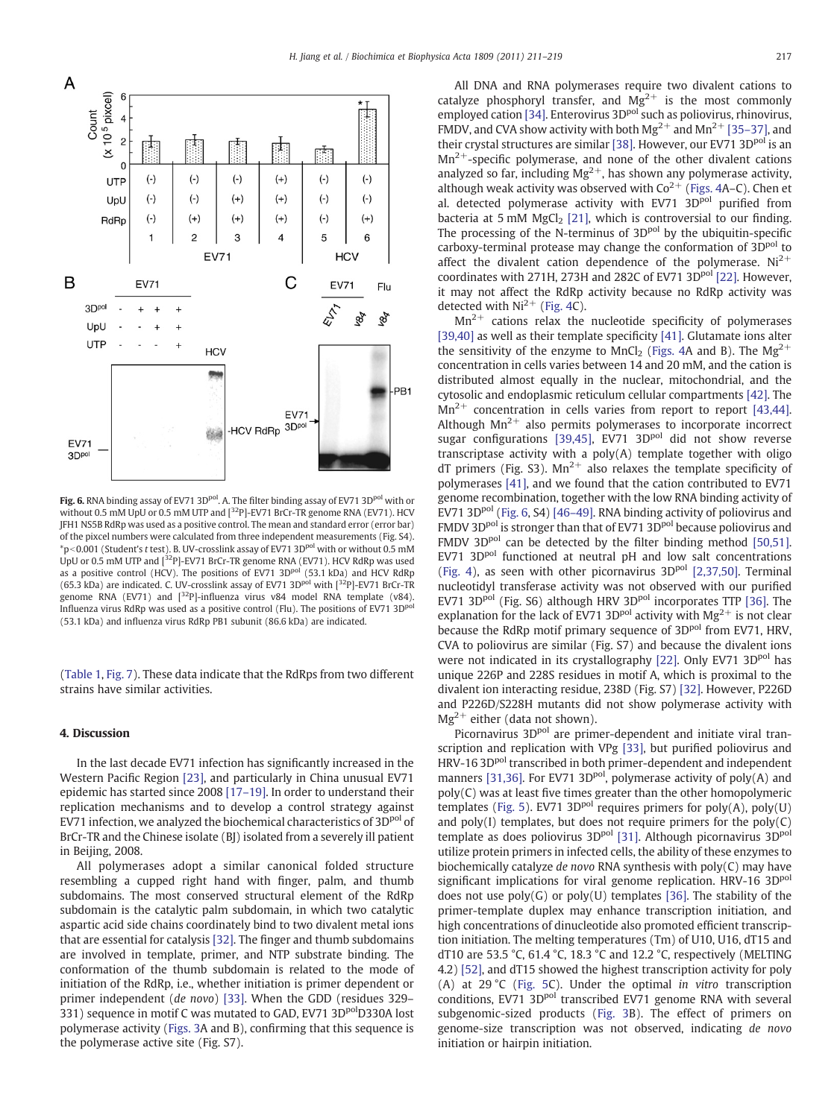<span id="page-6-0"></span>

Fig. 6. RNA binding assay of EV71 3D<sup>pol</sup>. A. The filter binding assay of EV71 3D<sup>pol</sup> with or without 0.5 mM UpU or 0.5 mM UTP and [<sup>32</sup>P]-EV71 BrCr-TR genome RNA (EV71). HCV JFH1 NS5B RdRp was used as a positive control. The mean and standard error (error bar) of the pixcel numbers were calculated from three independent measurements (Fig. S4). \*p<0.001 (Student's t test). B. UV-crosslink assay of EV71 3D<sup>pol</sup> with or without 0.5 mM UpU or 0.5 mM UTP and [<sup>32</sup>P]-EV71 BrCr-TR genome RNA (EV71). HCV RdRp was used as a positive control (HCV). The positions of EV71 3D<sup>pol</sup> (53.1 kDa) and HCV RdRp (65.3 kDa) are indicated. C. UV-crosslink assay of EV71 3D<sup>pol</sup> with  $[^{32}P]$ -EV71 BrCr-TR genome RNA (EV71) and  $\left[\right]$ <sup>32</sup>P]-influenza virus v84 model RNA template (v84). Influenza virus RdRp was used as a positive control (Flu). The positions of EV71 3Dpol (53.1 kDa) and influenza virus RdRp PB1 subunit (86.6 kDa) are indicated.

[\(Table 1,](#page-7-0) [Fig. 7](#page-7-0)). These data indicate that the RdRps from two different strains have similar activities.

# 4. Discussion

In the last decade EV71 infection has significantly increased in the Western Pacific Region [\[23\],](#page-8-0) and particularly in China unusual EV71 epidemic has started since 2008 [17–[19\].](#page-8-0) In order to understand their replication mechanisms and to develop a control strategy against EV71 infection, we analyzed the biochemical characteristics of 3D<sup>pol</sup> of BrCr-TR and the Chinese isolate (BJ) isolated from a severely ill patient in Beijing, 2008.

All polymerases adopt a similar canonical folded structure resembling a cupped right hand with finger, palm, and thumb subdomains. The most conserved structural element of the RdRp subdomain is the catalytic palm subdomain, in which two catalytic aspartic acid side chains coordinately bind to two divalent metal ions that are essential for catalysis [\[32\].](#page-8-0) The finger and thumb subdomains are involved in template, primer, and NTP substrate binding. The conformation of the thumb subdomain is related to the mode of initiation of the RdRp, i.e., whether initiation is primer dependent or primer independent (de novo) [\[33\]](#page-8-0). When the GDD (residues 329– 331) sequence in motif C was mutated to GAD, EV71 3D<sup>pol</sup>D330A lost polymerase activity [\(Figs. 3](#page-4-0)A and B), confirming that this sequence is the polymerase active site (Fig. S7).

All DNA and RNA polymerases require two divalent cations to catalyze phosphoryl transfer, and  $Mg^{2+}$  is the most commonly employed cation [\[34\].](#page-8-0) Enterovirus 3D<sup>pol</sup> such as poliovirus, rhinovirus, FMDV, and CVA show activity with both  $Mg^{2+}$  and  $Mn^{2+}$  [\[35](#page-8-0)–37], and their crystal structures are similar [\[38\].](#page-8-0) However, our EV71 3D<sup>pol</sup> is an  $Mn^{2+}$ -specific polymerase, and none of the other divalent cations analyzed so far, including  $Mg^{2+}$ , has shown any polymerase activity, although weak activity was observed with  $Co^{2+}$  ([Figs. 4](#page-4-0)A–C). Chen et al. detected polymerase activity with EV71 3D<sup>pol</sup> purified from bacteria at 5 mM  $MgCl<sub>2</sub>$  [\[21\]](#page-8-0), which is controversial to our finding. The processing of the N-terminus of  $3D<sup>pol</sup>$  by the ubiquitin-specific carboxy-terminal protease may change the conformation of 3D<sup>pol</sup> to affect the divalent cation dependence of the polymerase.  $Ni<sup>2+</sup>$ coordinates with 271H, 273H and 282C of EV71 3D<sup>pol</sup> [\[22\].](#page-8-0) However, it may not affect the RdRp activity because no RdRp activity was detected with  $Ni^{2+}$  ([Fig. 4](#page-4-0)C).

 $Mn^{2+}$  cations relax the nucleotide specificity of polymerases [\[39,40\]](#page-8-0) as well as their template specificity [\[41\]](#page-8-0). Glutamate ions alter the sensitivity of the enzyme to MnCl<sub>2</sub> ([Figs. 4](#page-4-0)A and B). The Mg<sup>2+</sup> concentration in cells varies between 14 and 20 mM, and the cation is distributed almost equally in the nuclear, mitochondrial, and the cytosolic and endoplasmic reticulum cellular compartments [\[42\]](#page-8-0). The  $Mn^{2+}$  concentration in cells varies from report to report [\[43,44\].](#page-8-0) Although  $Mn^{2+}$  also permits polymerases to incorporate incorrect sugar configurations [\[39,45\],](#page-8-0)  $EV71$  3D<sup>pol</sup> did not show reverse transcriptase activity with a poly(A) template together with oligo dT primers (Fig. S3).  $Mn^{2+}$  also relaxes the template specificity of polymerases [\[41\]](#page-8-0), and we found that the cation contributed to EV71 genome recombination, together with the low RNA binding activity of EV71 3D<sup>pol</sup> (Fig. 6, S4) [46-[49\].](#page-8-0) RNA binding activity of poliovirus and FMDV 3D<sup>pol</sup> is stronger than that of EV71 3D<sup>pol</sup> because poliovirus and FMDV 3D $^{pol}$  can be detected by the filter binding method [\[50,51\].](#page-8-0) EV71 3D<sup>pol</sup> functioned at neutral pH and low salt concentrations [\(Fig. 4\)](#page-4-0), as seen with other picornavirus  $3D<sup>pol</sup>$  [\[2,37,50\]](#page-8-0). Terminal nucleotidyl transferase activity was not observed with our purified EV71 3D<sup>pol</sup> (Fig. S6) although HRV 3D<sup>pol</sup> incorporates TTP [\[36\]](#page-8-0). The explanation for the lack of EV71 3D<sup>pol</sup> activity with  $Mg^{2+}$  is not clear because the RdRp motif primary sequence of 3D<sup>pol</sup> from EV71, HRV, CVA to poliovirus are similar (Fig. S7) and because the divalent ions were not indicated in its crystallography [\[22\]](#page-8-0). Only EV71 3D<sup>pol</sup> has unique 226P and 228S residues in motif A, which is proximal to the divalent ion interacting residue, 238D (Fig. S7) [\[32\].](#page-8-0) However, P226D and P226D/S228H mutants did not show polymerase activity with  $Mg^{2+}$  either (data not shown).

Picornavirus 3D<sup>pol</sup> are primer-dependent and initiate viral transcription and replication with VPg [\[33\]](#page-8-0), but purified poliovirus and HRV-16 3D<sup>pol</sup> transcribed in both primer-dependent and independent manners [\[31,36\]](#page-8-0). For EV71 3D $P<sup>pol</sup>$ , polymerase activity of poly(A) and poly(C) was at least five times greater than the other homopolymeric templates ([Fig. 5](#page-5-0)). EV71 3D<sup>pol</sup> requires primers for  $poly(A)$ ,  $poly(U)$ and poly(I) templates, but does not require primers for the poly(C) template as does poliovirus 3D<sup>pol</sup> [\[31\].](#page-8-0) Although picornavirus 3D<sup>pol</sup> utilize protein primers in infected cells, the ability of these enzymes to biochemically catalyze de novo RNA synthesis with poly(C) may have significant implications for viral genome replication. HRV-16 3D<sup>pol</sup> does not use  $poly(G)$  or  $poly(U)$  templates [\[36\].](#page-8-0) The stability of the primer-template duplex may enhance transcription initiation, and high concentrations of dinucleotide also promoted efficient transcription initiation. The melting temperatures (Tm) of U10, U16, dT15 and dT10 are 53.5 °C, 61.4 °C, 18.3 °C and 12.2 °C, respectively (MELTING 4.2) [\[52\],](#page-8-0) and dT15 showed the highest transcription activity for poly (A) at 29 °C [\(Fig. 5](#page-5-0)C). Under the optimal in vitro transcription conditions, EV71 3D<sup>pol</sup> transcribed EV71 genome RNA with several subgenomic-sized products ([Fig. 3](#page-4-0)B). The effect of primers on genome-size transcription was not observed, indicating de novo initiation or hairpin initiation.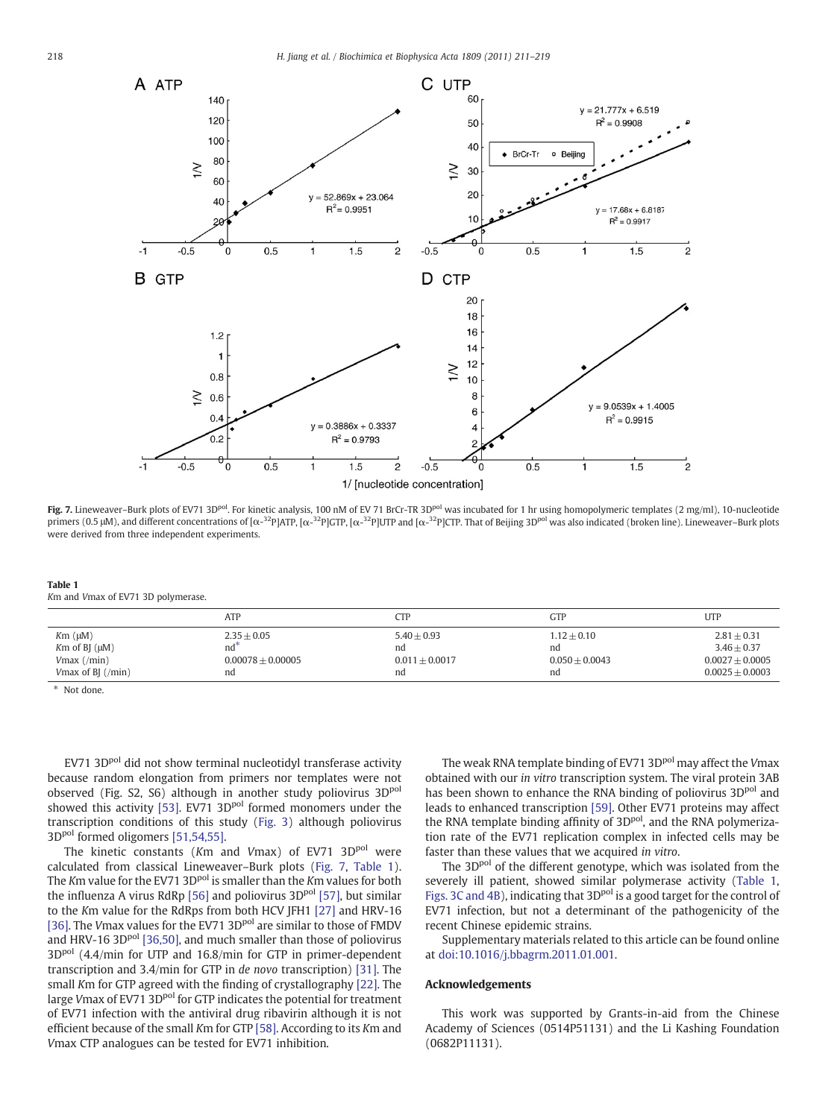<span id="page-7-0"></span>

Fig. 7. Lineweaver–Burk plots of EV71 3D<sup>pol</sup>. For kinetic analysis, 100 nM of EV 71 BrCr-TR 3D<sup>pol</sup> was incubated for 1 hr using homopolymeric templates (2 mg/ml), 10-nucleotide primers (0.5 μM), and different concentrations of [ $\alpha$ -<sup>32</sup>P]ATP, [ $\alpha$ -<sup>32</sup>P]GTP, [ $\alpha$ -<sup>32</sup>P]UTP and [ $\alpha$ -<sup>32</sup>P]CTP. That of Beijing 3D<sup>pol</sup> was also indicated (broken line). Lineweaver–Burk plots were derived from three independent experiments.

Table 1 Km and Vmax of EV71 3D polymerase.

|                           | ATP                 | CTP              | GTP              | <b>UTP</b>        |
|---------------------------|---------------------|------------------|------------------|-------------------|
| $Km(\mu M)$               | $2.35 + 0.05$       | $5.40 + 0.93$    | $1.12 + 0.10$    | $2.81 + 0.31$     |
| $Km$ of BJ $(\mu M)$      | nd                  | nd               | nd               | $3.46 + 0.37$     |
| $V$ max $($ /min $)$      | $0.00078 + 0.00005$ | $0.011 + 0.0017$ | $0.050 + 0.0043$ | $0.0027 + 0.0005$ |
| Vmax of BJ $(\text{min})$ | nd                  | nd               | nd               | $0.0025 + 0.0003$ |

⁎ Not done.

EV71 3D<sup>pol</sup> did not show terminal nucleotidyl transferase activity because random elongation from primers nor templates were not observed (Fig. S2, S6) although in another study poliovirus 3D<sup>pol</sup> showed this activity [\[53\].](#page-8-0) EV71 3D<sup>pol</sup> formed monomers under the transcription conditions of this study [\(Fig. 3](#page-4-0)) although poliovirus 3D<sup>pol</sup> formed oligomers [\[51,54,55\].](#page-8-0)

The kinetic constants ( $Km$  and  $Vmax$ ) of EV71 3D $^{pol}$  were calculated from classical Lineweaver–Burk plots (Fig. 7, Table 1). The Km value for the EV71 3D<sup>pol</sup> is smaller than the Km values for both the influenza A virus RdRp [\[56\]](#page-8-0) and poliovirus 3D<sup>pol</sup> [\[57\]](#page-8-0), but similar to the Km value for the RdRps from both HCV JFH1 [\[27\]](#page-8-0) and HRV-16 [\[36\]](#page-8-0). The Vmax values for the EV71 3D<sup>pol</sup> are similar to those of FMDV and HRV-16 3D $P<sup>pol</sup>$  [\[36,50\],](#page-8-0) and much smaller than those of poliovirus 3D<sup>pol</sup> (4.4/min for UTP and 16.8/min for GTP in primer-dependent transcription and 3.4/min for GTP in de novo transcription) [\[31\]](#page-8-0). The small Km for GTP agreed with the finding of crystallography [\[22\].](#page-8-0) The large Vmax of EV71 3D<sup>pol</sup> for GTP indicates the potential for treatment of EV71 infection with the antiviral drug ribavirin although it is not efficient because of the small Km for GTP [\[58\].](#page-8-0) According to its Km and Vmax CTP analogues can be tested for EV71 inhibition.

The weak RNA template binding of EV71 3D<sup>pol</sup> may affect the Vmax obtained with our in vitro transcription system. The viral protein 3AB has been shown to enhance the RNA binding of poliovirus 3D<sup>pol</sup> and leads to enhanced transcription [\[59\]](#page-8-0). Other EV71 proteins may affect the RNA template binding affinity of 3D<sup>pol</sup>, and the RNA polymerization rate of the EV71 replication complex in infected cells may be faster than these values that we acquired in vitro.

The 3D<sup>pol</sup> of the different genotype, which was isolated from the severely ill patient, showed similar polymerase activity (Table 1, [Figs. 3C and 4B\)](#page-4-0), indicating that 3D<sup>pol</sup> is a good target for the control of EV71 infection, but not a determinant of the pathogenicity of the recent Chinese epidemic strains.

Supplementary materials related to this article can be found online at doi:10.1016/j.bbagrm.2011.01.001.

## Acknowledgements

This work was supported by Grants-in-aid from the Chinese Academy of Sciences (0514P51131) and the Li Kashing Foundation (0682P11131).